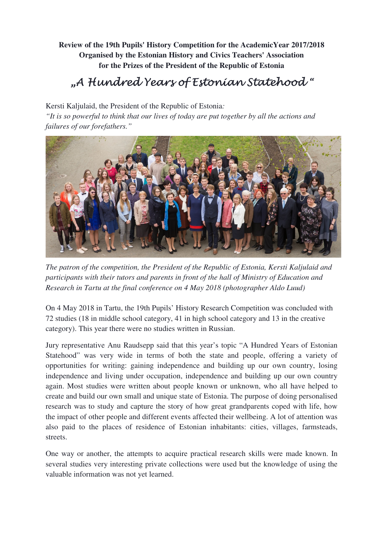**Review of the 19th Pupils' History Competition for the AcademicYear 2017/2018 Organised by the Estonian History and Civics Teachers' Association for the Prizes of the President of the Republic of Estonia**

## "A Hundred Years of Estonian Statehood "

Kersti Kaljulaid, the President of the Republic of Estonia*:* 

*"It is so powerful to think that our lives of today are put together by all the actions and failures of our forefathers."*



*The patron of the competition, the President of the Republic of Estonia, Kersti Kaljulaid and participants with their tutors and parents in front of the hall of Ministry of Education and Research in Tartu at the final conference on 4 May 2018 (photographer Aldo Luud)* 

On 4 May 2018 in Tartu, the 19th Pupils' History Research Competition was concluded with 72 studies (18 in middle school category, 41 in high school category and 13 in the creative category). This year there were no studies written in Russian.

Jury representative Anu Raudsepp said that this year's topic "A Hundred Years of Estonian Statehood" was very wide in terms of both the state and people, offering a variety of opportunities for writing: gaining independence and building up our own country, losing independence and living under occupation, independence and building up our own country again. Most studies were written about people known or unknown, who all have helped to create and build our own small and unique state of Estonia. The purpose of doing personalised research was to study and capture the story of how great grandparents coped with life, how the impact of other people and different events affected their wellbeing. A lot of attention was also paid to the places of residence of Estonian inhabitants: cities, villages, farmsteads, streets.

One way or another, the attempts to acquire practical research skills were made known. In several studies very interesting private collections were used but the knowledge of using the valuable information was not yet learned.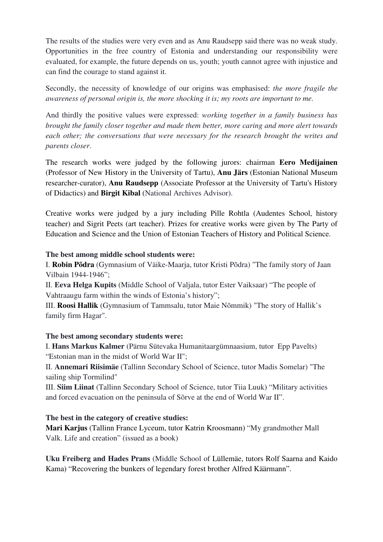The results of the studies were very even and as Anu Raudsepp said there was no weak study. Opportunities in the free country of Estonia and understanding our responsibility were evaluated, for example, the future depends on us, youth; youth cannot agree with injustice and can find the courage to stand against it.

Secondly, the necessity of knowledge of our origins was emphasised: *the more fragile the awareness of personal origin is, the more shocking it is; my roots are important to me.*

And thirdly the positive values were expressed: *working together in a family business has brought the family closer together and made them better, more caring and more alert towards each other; the conversations that were necessary for the research brought the writes and parents closer*.

The research works were judged by the following jurors: chairman **Eero Medijainen** (Professor of New History in the University of Tartu), **Anu Järs** (Estonian National Museum researcher-curator), **Anu Raudsepp** (Associate Professor at the University of Tartu's History of Didactics) and **Birgit Kibal** (National Archives Advisor).

Creative works were judged by a jury including Pille Rohtla (Audentes School, history teacher) and Sigrit Peets (art teacher). Prizes for creative works were given by The Party of Education and Science and the Union of Estonian Teachers of History and Political Science.

## **The best among middle school students were:**

I. **Robin Põdra** (Gymnasium of Väike-Maarja, tutor Kristi Põdra) "The family story of Jaan Vilbain 1944-1946";

II. **Eeva Helga Kupits** (Middle School of Valjala, tutor Ester Vaiksaar) "The people of Vahtraaugu farm within the winds of Estonia's history";

III. **Roosi Hallik** (Gymnasium of Tammsalu, tutor Maie Nõmmik) "The story of Hallik's family firm Hagar".

## **The best among secondary students were:**

I. **Hans Markus Kalmer** (Pärnu Sütevaka Humanitaargümnaasium, tutor Epp Pavelts) "Estonian man in the midst of World War II";

II. **Annemari Riisimäe** (Tallinn Secondary School of Science, tutor Madis Somelar) "The sailing ship Tormilind"

III. **Siim Liinat** (Tallinn Secondary School of Science, tutor Tiia Luuk) "Military activities and forced evacuation on the peninsula of Sõrve at the end of World War II".

## **The best in the category of creative studies:**

**Mari Karjus** (Tallinn France Lyceum, tutor Katrin Kroosmann) "My grandmother Mall Valk. Life and creation" (issued as a book)

**Uku Freiberg and Hades Prans** (Middle School of Lüllemäe, tutors Rolf Saarna and Kaido Kama) "Recovering the bunkers of legendary forest brother Alfred Käärmann".